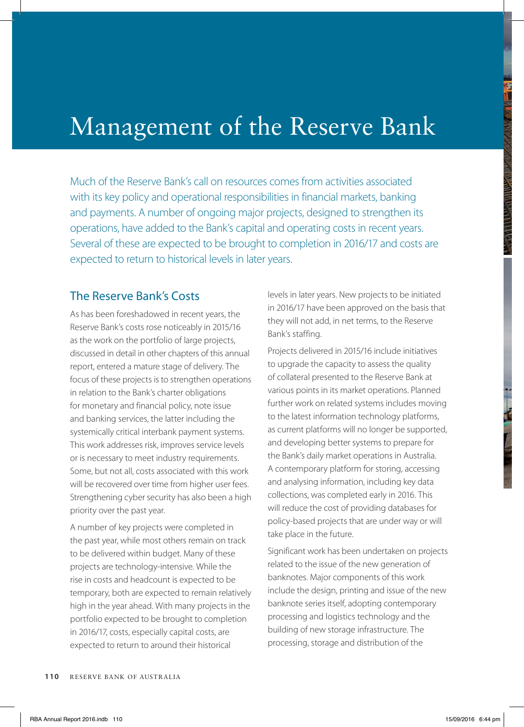# Management of the Reserve Bank

Much of the Reserve Bank's call on resources comes from activities associated with its key policy and operational responsibilities in financial markets, banking and payments. A number of ongoing major projects, designed to strengthen its operations, have added to the Bank's capital and operating costs in recent years. Several of these are expected to be brought to completion in 2016/17 and costs are expected to return to historical levels in later years.

#### The Reserve Bank's Costs

As has been foreshadowed in recent years, the Reserve Bank's costs rose noticeably in 2015/16 as the work on the portfolio of large projects, discussed in detail in other chapters of this annual report, entered a mature stage of delivery. The focus of these projects is to strengthen operations in relation to the Bank's charter obligations for monetary and financial policy, note issue and banking services, the latter including the systemically critical interbank payment systems. This work addresses risk, improves service levels or is necessary to meet industry requirements. Some, but not all, costs associated with this work will be recovered over time from higher user fees. Strengthening cyber security has also been a high priority over the past year.

A number of key projects were completed in the past year, while most others remain on track to be delivered within budget. Many of these projects are technology-intensive. While the rise in costs and headcount is expected to be temporary, both are expected to remain relatively high in the year ahead. With many projects in the portfolio expected to be brought to completion in 2016/17, costs, especially capital costs, are expected to return to around their historical

levels in later years. New projects to be initiated in 2016/17 have been approved on the basis that they will not add, in net terms, to the Reserve Bank's staffing.

Projects delivered in 2015/16 include initiatives to upgrade the capacity to assess the quality of collateral presented to the Reserve Bank at various points in its market operations. Planned further work on related systems includes moving to the latest information technology platforms, as current platforms will no longer be supported, and developing better systems to prepare for the Bank's daily market operations in Australia. A contemporary platform for storing, accessing and analysing information, including key data collections, was completed early in 2016. This will reduce the cost of providing databases for policy-based projects that are under way or will take place in the future.

Significant work has been undertaken on projects related to the issue of the new generation of banknotes. Major components of this work include the design, printing and issue of the new banknote series itself, adopting contemporary processing and logistics technology and the building of new storage infrastructure. The processing, storage and distribution of the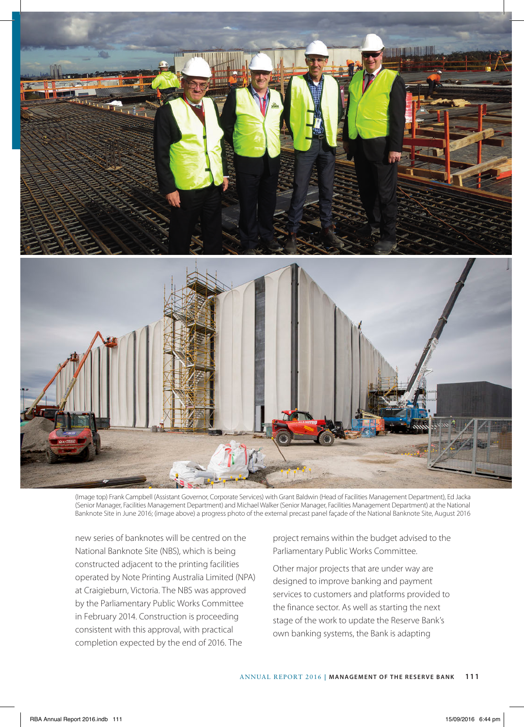

(Image top) Frank Campbell (Assistant Governor, Corporate Services) with Grant Baldwin (Head of Facilities Management Department), Ed Jacka (Senior Manager, Facilities Management Department) and Michael Walker (Senior Manager, Facilities Management Department) at the National Banknote Site in June 2016; (image above) a progress photo of the external precast panel façade of the National Banknote Site, August 2016

new series of banknotes will be centred on the National Banknote Site (NBS), which is being constructed adjacent to the printing facilities operated by Note Printing Australia Limited (NPA) at Craigieburn, Victoria. The NBS was approved by the Parliamentary Public Works Committee in February 2014. Construction is proceeding consistent with this approval, with practical completion expected by the end of 2016. The

project remains within the budget advised to the Parliamentary Public Works Committee.

Other major projects that are under way are designed to improve banking and payment services to customers and platforms provided to the finance sector. As well as starting the next stage of the work to update the Reserve Bank's own banking systems, the Bank is adapting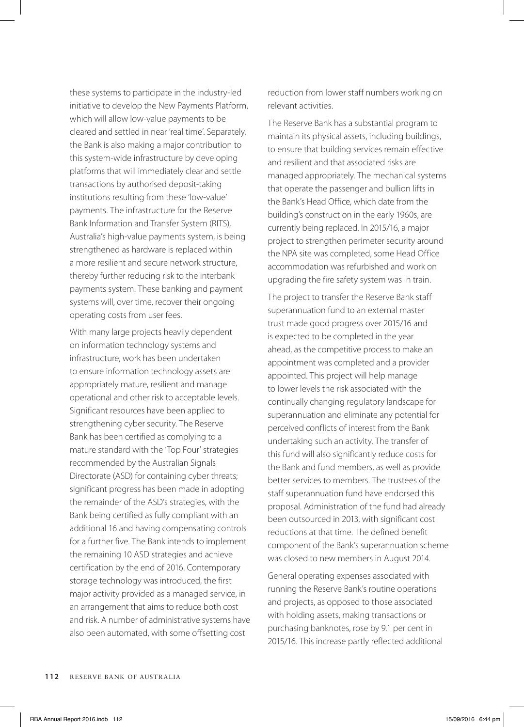these systems to participate in the industry-led initiative to develop the New Payments Platform, which will allow low-value payments to be cleared and settled in near 'real time'. Separately, the Bank is also making a major contribution to this system-wide infrastructure by developing platforms that will immediately clear and settle transactions by authorised deposit-taking institutions resulting from these 'low-value' payments. The infrastructure for the Reserve Bank Information and Transfer System (RITS), Australia's high-value payments system, is being strengthened as hardware is replaced within a more resilient and secure network structure, thereby further reducing risk to the interbank payments system. These banking and payment systems will, over time, recover their ongoing operating costs from user fees.

With many large projects heavily dependent on information technology systems and infrastructure, work has been undertaken to ensure information technology assets are appropriately mature, resilient and manage operational and other risk to acceptable levels. Significant resources have been applied to strengthening cyber security. The Reserve Bank has been certified as complying to a mature standard with the 'Top Four' strategies recommended by the Australian Signals Directorate (ASD) for containing cyber threats; significant progress has been made in adopting the remainder of the ASD's strategies, with the Bank being certified as fully compliant with an additional 16 and having compensating controls for a further five. The Bank intends to implement the remaining 10 ASD strategies and achieve certification by the end of 2016. Contemporary storage technology was introduced, the first major activity provided as a managed service, in an arrangement that aims to reduce both cost and risk. A number of administrative systems have also been automated, with some offsetting cost

reduction from lower staff numbers working on relevant activities.

The Reserve Bank has a substantial program to maintain its physical assets, including buildings, to ensure that building services remain effective and resilient and that associated risks are managed appropriately. The mechanical systems that operate the passenger and bullion lifts in the Bank's Head Office, which date from the building's construction in the early 1960s, are currently being replaced. In 2015/16, a major project to strengthen perimeter security around the NPA site was completed, some Head Office accommodation was refurbished and work on upgrading the fire safety system was in train.

The project to transfer the Reserve Bank staff superannuation fund to an external master trust made good progress over 2015/16 and is expected to be completed in the year ahead, as the competitive process to make an appointment was completed and a provider appointed. This project will help manage to lower levels the risk associated with the continually changing regulatory landscape for superannuation and eliminate any potential for perceived conflicts of interest from the Bank undertaking such an activity. The transfer of this fund will also significantly reduce costs for the Bank and fund members, as well as provide better services to members. The trustees of the staff superannuation fund have endorsed this proposal. Administration of the fund had already been outsourced in 2013, with significant cost reductions at that time. The defined benefit component of the Bank's superannuation scheme was closed to new members in August 2014.

General operating expenses associated with running the Reserve Bank's routine operations and projects, as opposed to those associated with holding assets, making transactions or purchasing banknotes, rose by 9.1 per cent in 2015/16. This increase partly reflected additional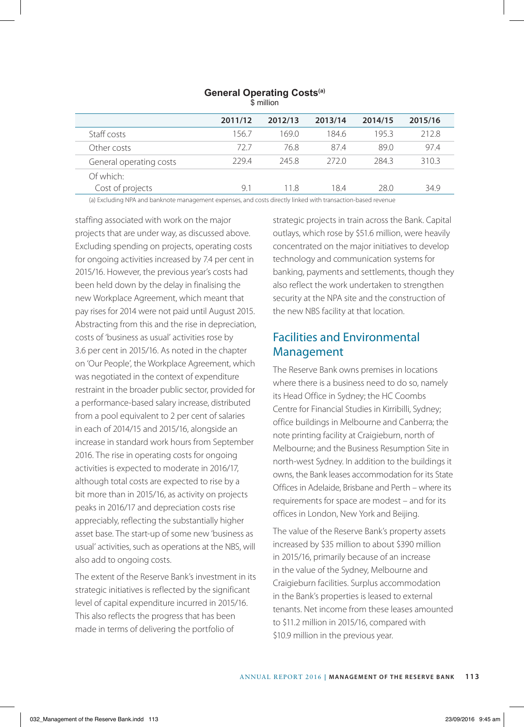| \$ million              |         |         |         |         |         |  |
|-------------------------|---------|---------|---------|---------|---------|--|
|                         | 2011/12 | 2012/13 | 2013/14 | 2014/15 | 2015/16 |  |
| Staff costs             | 156.7   | 169.0   | 184.6   | 1953    | 212.8   |  |
| Other costs             | 727     | 76.8    | 87.4    | 89.0    | 97.4    |  |
| General operating costs | 2294    | 2458    | 2720    | 2843    | 310.3   |  |
| Of which:               |         |         |         |         |         |  |
| Cost of projects        | 9.1     | 11 8    | 18.4    | 28.0    | 34.9    |  |

## **General Operating Costs(a)**

(a) Excluding NPA and banknote management expenses, and costs directly linked with transaction-based revenue

staffing associated with work on the major projects that are under way, as discussed above. Excluding spending on projects, operating costs for ongoing activities increased by 7.4 per cent in 2015/16. However, the previous year's costs had been held down by the delay in finalising the new Workplace Agreement, which meant that pay rises for 2014 were not paid until August 2015. Abstracting from this and the rise in depreciation, costs of 'business as usual' activities rose by 3.6 per cent in 2015/16. As noted in the chapter on 'Our People', the Workplace Agreement, which was negotiated in the context of expenditure restraint in the broader public sector, provided for a performance-based salary increase, distributed from a pool equivalent to 2 per cent of salaries in each of 2014/15 and 2015/16, alongside an increase in standard work hours from September 2016. The rise in operating costs for ongoing activities is expected to moderate in 2016/17, although total costs are expected to rise by a bit more than in 2015/16, as activity on projects peaks in 2016/17 and depreciation costs rise appreciably, reflecting the substantially higher asset base. The start-up of some new 'business as usual' activities, such as operations at the NBS, will also add to ongoing costs.

The extent of the Reserve Bank's investment in its strategic initiatives is reflected by the significant level of capital expenditure incurred in 2015/16. This also reflects the progress that has been made in terms of delivering the portfolio of

strategic projects in train across the Bank. Capital outlays, which rose by \$51.6 million, were heavily concentrated on the major initiatives to develop technology and communication systems for banking, payments and settlements, though they also reflect the work undertaken to strengthen security at the NPA site and the construction of the new NBS facility at that location.

#### Facilities and Environmental Management

The Reserve Bank owns premises in locations where there is a business need to do so, namely its Head Office in Sydney; the HC Coombs Centre for Financial Studies in Kirribilli, Sydney; office buildings in Melbourne and Canberra; the note printing facility at Craigieburn, north of Melbourne; and the Business Resumption Site in north-west Sydney. In addition to the buildings it owns, the Bank leases accommodation for its State Offices in Adelaide, Brisbane and Perth – where its requirements for space are modest – and for its offices in London, New York and Beijing.

The value of the Reserve Bank's property assets increased by \$35 million to about \$390 million in 2015/16, primarily because of an increase in the value of the Sydney, Melbourne and Craigieburn facilities. Surplus accommodation in the Bank's properties is leased to external tenants. Net income from these leases amounted to \$11.2 million in 2015/16, compared with \$10.9 million in the previous year.